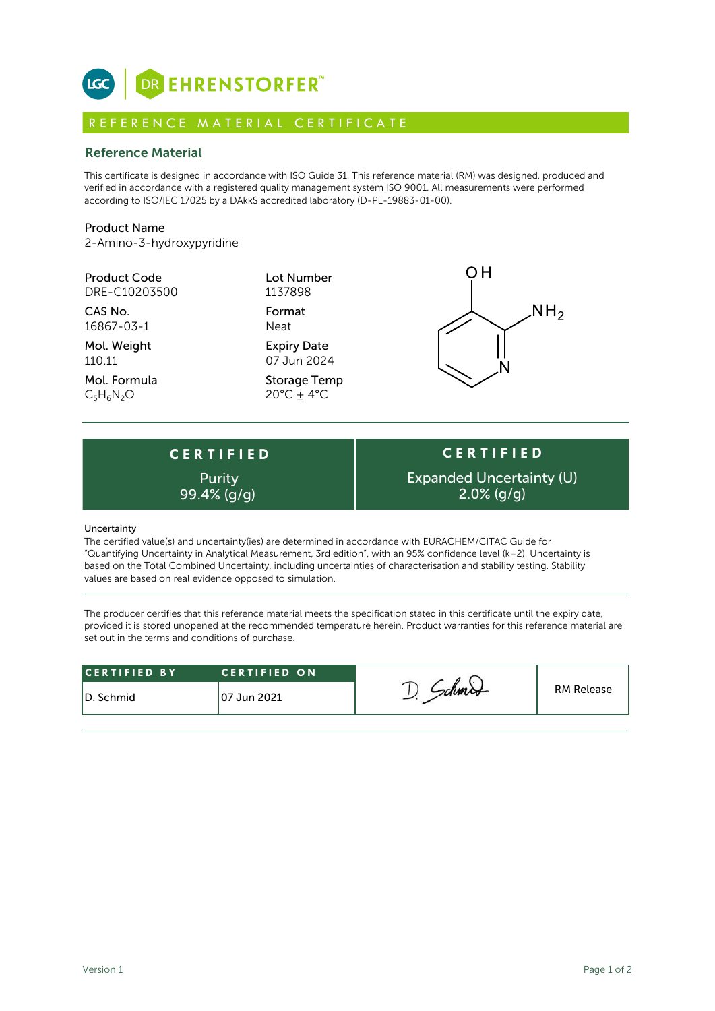

## R E F E R E N C E M A T E R I A L C E R T I F I C A T E

## Reference Material

This certificate is designed in accordance with ISO Guide 31. This reference material (RM) was designed, produced and verified in accordance with a registered quality management system ISO 9001. All measurements were performed according to ISO/IEC 17025 by a DAkkS accredited laboratory (D-PL-19883-01-00).

## Product Name

2-Amino-3-hydroxypyridine

| <b>Product Code</b><br>DRE-C10203500 | Lot Number<br>1137898                       |                 |
|--------------------------------------|---------------------------------------------|-----------------|
| CAS No.<br>16867-03-1                | Format<br>Neat                              | NH <sub>2</sub> |
| Mol. Weight<br>110.11                | <b>Expiry Date</b><br>07 Jun 2024           |                 |
| Mol. Formula<br>$C_5H_6N_2O$         | <b>Storage Temp</b><br>$20^{\circ}$ C + 4°C |                 |

# **C E R T I F I E D** Purity

**C E R T I F I E D** Expanded Uncertainty (U) 99.4%  $\frac{q}{q}$  2.0%  $\frac{q}{q}$ 

#### **Uncertainty**

The certified value(s) and uncertainty(ies) are determined in accordance with EURACHEM/CITAC Guide for "Quantifying Uncertainty in Analytical Measurement, 3rd edition", with an 95% confidence level (k=2). Uncertainty is based on the Total Combined Uncertainty, including uncertainties of characterisation and stability testing. Stability values are based on real evidence opposed to simulation.

The producer certifies that this reference material meets the specification stated in this certificate until the expiry date, provided it is stored unopened at the recommended temperature herein. Product warranties for this reference material are set out in the terms and conditions of purchase.

| <b>RM Release</b><br>107 Jun 2021<br>ID. Schmid | <b>CERTIFIED BY</b> | <b>CERTIFIED ON</b> |  |  |
|-------------------------------------------------|---------------------|---------------------|--|--|
|                                                 |                     |                     |  |  |